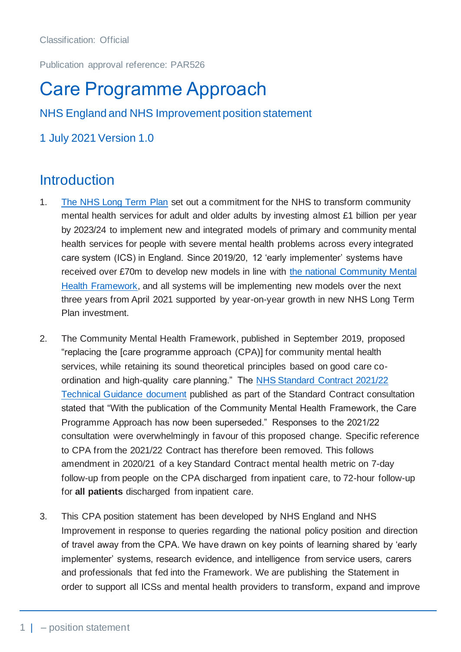Classification: Official

Publication approval reference: PAR526

# Care Programme Approach

NHS England and NHS Improvement position statement

1 July 2021 Version 1.0

### **Introduction**

- 1. [The NHS Long Term Plan](https://www.longtermplan.nhs.uk/publication/nhs-mental-health-implementation-plan-2019-20-2023-24/) set out a commitment for the NHS to transform community mental health services for adult and older adults by investing almost £1 billion per year by 2023/24 to implement new and integrated models of primary and community mental health services for people with severe mental health problems across every integrated care system (ICS) in England. Since 2019/20, 12 'early implementer' systems have received over £70m to develop new models in line with [the national Community Mental](https://www.england.nhs.uk/publication/the-community-mental-health-framework-for-adults-and-older-adults/)  [Health Framework,](https://www.england.nhs.uk/publication/the-community-mental-health-framework-for-adults-and-older-adults/) and all systems will be implementing new models over the next three years from April 2021 supported by year-on-year growth in new NHS Long Term Plan investment.
- 2. The Community Mental Health Framework, published in September 2019, proposed "replacing the [care programme approach (CPA)] for community mental health services, while retaining its sound theoretical principles based on good care coordination and high-quality care planning." The [NHS Standard Contract 2021/22](https://www.england.nhs.uk/wp-content/uploads/2021/01/9-Contract-Technical-Guidance-2021-22-040121.pdf)  [Technical Guidance document](https://www.england.nhs.uk/wp-content/uploads/2021/01/9-Contract-Technical-Guidance-2021-22-040121.pdf) published as part of the Standard Contract consultation stated that "With the publication of the Community Mental Health Framework, the Care Programme Approach has now been superseded." Responses to the 2021/22 consultation were overwhelmingly in favour of this proposed change. Specific reference to CPA from the 2021/22 Contract has therefore been removed. This follows amendment in 2020/21 of a key Standard Contract mental health metric on 7-day follow-up from people on the CPA discharged from inpatient care, to 72-hour follow-up for **all patients** discharged from inpatient care.
- 3. This CPA position statement has been developed by NHS England and NHS Improvement in response to queries regarding the national policy position and direction of travel away from the CPA. We have drawn on key points of learning shared by 'early implementer' systems, research evidence, and intelligence from service users, carers and professionals that fed into the Framework. We are publishing the Statement in order to support all ICSs and mental health providers to transform, expand and improve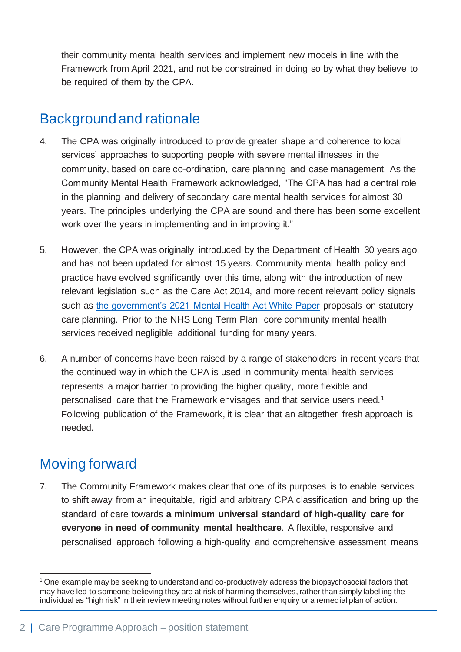their community mental health services and implement new models in line with the Framework from April 2021, and not be constrained in doing so by what they believe to be required of them by the CPA.

### Background and rationale

- 4. The CPA was originally introduced to provide greater shape and coherence to local services' approaches to supporting people with severe mental illnesses in the community, based on care co-ordination, care planning and case management. As the Community Mental Health Framework acknowledged, "The CPA has had a central role in the planning and delivery of secondary care mental health services for almost 30 years. The principles underlying the CPA are sound and there has been some excellent work over the years in implementing and in improving it."
- 5. However, the CPA was originally introduced by the Department of Health 30 years ago, and has not been updated for almost 15 years. Community mental health policy and practice have evolved significantly over this time, along with the introduction of new relevant legislation such as the Care Act 2014, and more recent relevant policy signals such as [the government's 2021 Mental Health Act White Paper](https://www.gov.uk/government/consultations/reforming-the-mental-health-act/reforming-the-mental-health-act) proposals on statutory care planning. Prior to the NHS Long Term Plan, core community mental health services received negligible additional funding for many years.
- 6. A number of concerns have been raised by a range of stakeholders in recent years that the continued way in which the CPA is used in community mental health services represents a major barrier to providing the higher quality, more flexible and personalised care that the Framework envisages and that service users need.<sup>1</sup> Following publication of the Framework, it is clear that an altogether fresh approach is needed.

### Moving forward

7. The Community Framework makes clear that one of its purposes is to enable services to shift away from an inequitable, rigid and arbitrary CPA classification and bring up the standard of care towards **a minimum universal standard of high-quality care for everyone in need of community mental healthcare**. A flexible, responsive and personalised approach following a high-quality and comprehensive assessment means

<sup>1</sup> One example may be seeking to understand and co-productively address the biopsychosocial factors that may have led to someone believing they are at risk of harming themselves, rather than simply labelling the individual as "high risk" in their review meeting notes without further enquiry or a remedial plan of action.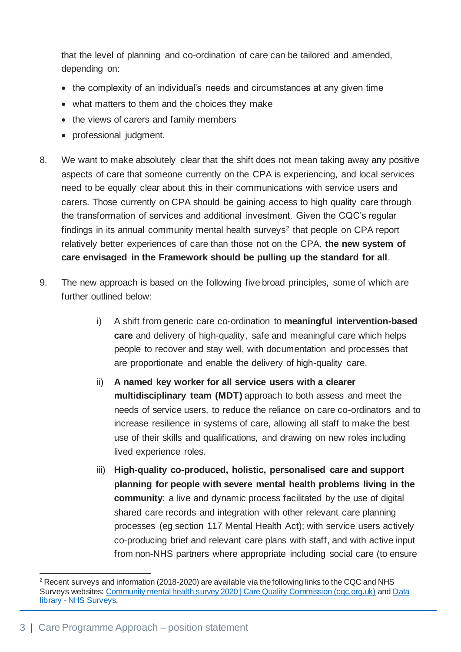that the level of planning and co-ordination of care can be tailored and amended, depending on:

- the complexity of an individual's needs and circumstances at any given time
- what matters to them and the choices they make
- the views of carers and family members
- professional judgment.
- 8. We want to make absolutely clear that the shift does not mean taking away any positive aspects of care that someone currently on the CPA is experiencing, and local services need to be equally clear about this in their communications with service users and carers. Those currently on CPA should be gaining access to high quality care through the transformation of services and additional investment. Given the CQC's regular findings in its annual community mental health surveys<sup>2</sup> that people on CPA report relatively better experiences of care than those not on the CPA, **the new system of care envisaged in the Framework should be pulling up the standard for all**.
- 9. The new approach is based on the following five broad principles, some of which are further outlined below:
	- i) A shift from generic care co-ordination to **meaningful intervention-based care** and delivery of high-quality, safe and meaningful care which helps people to recover and stay well, with documentation and processes that are proportionate and enable the delivery of high-quality care.
	- ii) **A named key worker for all service users with a clearer multidisciplinary team (MDT)** approach to both assess and meet the needs of service users, to reduce the reliance on care co-ordinators and to increase resilience in systems of care, allowing all staff to make the best use of their skills and qualifications, and drawing on new roles including lived experience roles.
	- iii) **High-quality co-produced, holistic, personalised care and support planning for people with severe mental health problems living in the community**: a live and dynamic process facilitated by the use of digital shared care records and integration with other relevant care planning processes (eg section 117 Mental Health Act); with service users actively co-producing brief and relevant care plans with staff, and with active input from non-NHS partners where appropriate including social care (to ensure

 $2$  Recent surveys and information (2018-2020) are available via the following links to the CQC and NHS Surveys websites[: Community mental health survey 2020 | Care Quality Commission \(cqc.org.uk\)](https://www.cqc.org.uk/publications/surveys/community-mental-health-survey-2020) and Data library - [NHS Surveys](https://nhssurveys.org/data-library/).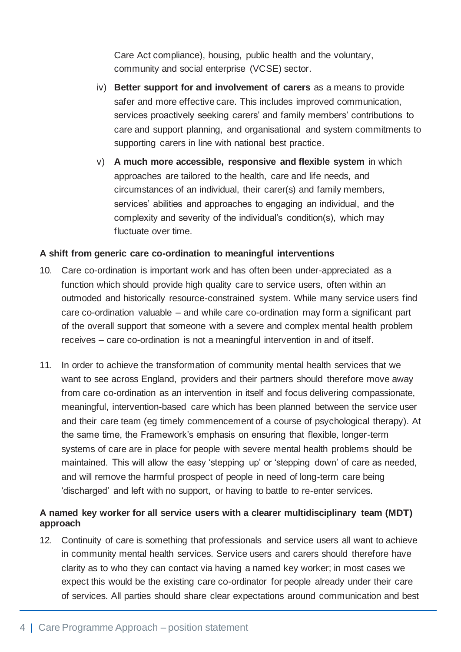Care Act compliance), housing, public health and the voluntary, community and social enterprise (VCSE) sector.

- iv) **Better support for and involvement of carers** as a means to provide safer and more effective care. This includes improved communication, services proactively seeking carers' and family members' contributions to care and support planning, and organisational and system commitments to supporting carers in line with national best practice.
- v) **A much more accessible, responsive and flexible system** in which approaches are tailored to the health, care and life needs, and circumstances of an individual, their carer(s) and family members, services' abilities and approaches to engaging an individual, and the complexity and severity of the individual's condition(s), which may fluctuate over time.

#### **A shift from generic care co-ordination to meaningful interventions**

- 10. Care co-ordination is important work and has often been under-appreciated as a function which should provide high quality care to service users, often within an outmoded and historically resource-constrained system. While many service users find care co-ordination valuable – and while care co-ordination may form a significant part of the overall support that someone with a severe and complex mental health problem receives – care co-ordination is not a meaningful intervention in and of itself.
- 11. In order to achieve the transformation of community mental health services that we want to see across England, providers and their partners should therefore move away from care co-ordination as an intervention in itself and focus delivering compassionate, meaningful, intervention-based care which has been planned between the service user and their care team (eg timely commencement of a course of psychological therapy). At the same time, the Framework's emphasis on ensuring that flexible, longer-term systems of care are in place for people with severe mental health problems should be maintained. This will allow the easy 'stepping up' or 'stepping down' of care as needed, and will remove the harmful prospect of people in need of long-term care being 'discharged' and left with no support, or having to battle to re-enter services.

#### **A named key worker for all service users with a clearer multidisciplinary team (MDT) approach**

12. Continuity of care is something that professionals and service users all want to achieve in community mental health services. Service users and carers should therefore have clarity as to who they can contact via having a named key worker; in most cases we expect this would be the existing care co-ordinator for people already under their care of services. All parties should share clear expectations around communication and best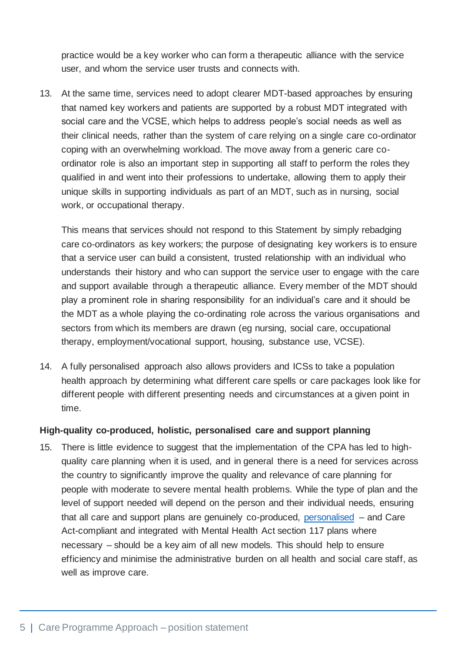practice would be a key worker who can form a therapeutic alliance with the service user, and whom the service user trusts and connects with.

13. At the same time, services need to adopt clearer MDT-based approaches by ensuring that named key workers and patients are supported by a robust MDT integrated with social care and the VCSE, which helps to address people's social needs as well as their clinical needs, rather than the system of care relying on a single care co-ordinator coping with an overwhelming workload. The move away from a generic care coordinator role is also an important step in supporting all staff to perform the roles they qualified in and went into their professions to undertake, allowing them to apply their unique skills in supporting individuals as part of an MDT, such as in nursing, social work, or occupational therapy.

This means that services should not respond to this Statement by simply rebadging care co-ordinators as key workers; the purpose of designating key workers is to ensure that a service user can build a consistent, trusted relationship with an individual who understands their history and who can support the service user to engage with the care and support available through a therapeutic alliance. Every member of the MDT should play a prominent role in sharing responsibility for an individual's care and it should be the MDT as a whole playing the co-ordinating role across the various organisations and sectors from which its members are drawn (eg nursing, social care, occupational therapy, employment/vocational support, housing, substance use, VCSE).

14. A fully personalised approach also allows providers and ICSs to take a population health approach by determining what different care spells or care packages look like for different people with different presenting needs and circumstances at a given point in time.

#### **High-quality co-produced, holistic, personalised care and support planning**

15. There is little evidence to suggest that the implementation of the CPA has led to highquality care planning when it is used, and in general there is a need for services across the country to significantly improve the quality and relevance of care planning for people with moderate to severe mental health problems. While the type of plan and the level of support needed will depend on the person and their individual needs, ensuring that all care and support plans are genuinely co-produced, [personalised](https://www.england.nhs.uk/personalisedcare/) – and Care Act-compliant and integrated with Mental Health Act section 117 plans where necessary – should be a key aim of all new models. This should help to ensure efficiency and minimise the administrative burden on all health and social care staff, as well as improve care.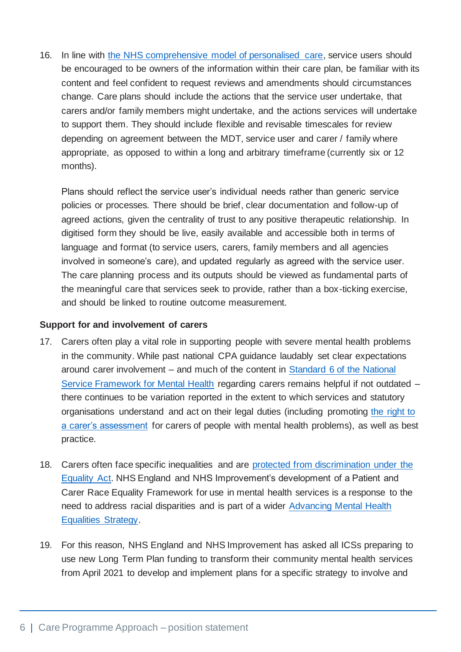16. In line with [the NHS comprehensive model of personalised care,](https://www.england.nhs.uk/personalisedcare/comprehensive-model-of-personalised-care/) service users should be encouraged to be owners of the information within their care plan, be familiar with its content and feel confident to request reviews and amendments should circumstances change. Care plans should include the actions that the service user undertake, that carers and/or family members might undertake, and the actions services will undertake to support them. They should include flexible and revisable timescales for review depending on agreement between the MDT, service user and carer / family where appropriate, as opposed to within a long and arbitrary timeframe (currently six or 12 months).

Plans should reflect the service user's individual needs rather than generic service policies or processes. There should be brief, clear documentation and follow-up of agreed actions, given the centrality of trust to any positive therapeutic relationship. In digitised form they should be live, easily available and accessible both in terms of language and format (to service users, carers, family members and all agencies involved in someone's care), and updated regularly as agreed with the service user. The care planning process and its outputs should be viewed as fundamental parts of the meaningful care that services seek to provide, rather than a box-ticking exercise, and should be linked to routine outcome measurement.

#### **Support for and involvement of carers**

- 17. Carers often play a vital role in supporting people with severe mental health problems in the community. While past national CPA guidance laudably set clear expectations around carer involvement – and much of the content in [Standard 6 of the National](https://assets.publishing.service.gov.uk/government/uploads/system/uploads/attachment_data/file/198051/National_Service_Framework_for_Mental_Health.pdf)  [Service Framework for Mental Health](https://assets.publishing.service.gov.uk/government/uploads/system/uploads/attachment_data/file/198051/National_Service_Framework_for_Mental_Health.pdf) regarding carers remains helpful if not outdated – there continues to be variation reported in the extent to which services and statutory organisations understand and act on their legal duties (including promoting [the right to](https://www.rethink.org/advice-and-information/carers-hub/carers-assessment-under-the-care-act-2014/)  [a carer's assessment](https://www.rethink.org/advice-and-information/carers-hub/carers-assessment-under-the-care-act-2014/) for carers of people with mental health problems), as well as best practice.
- 18. Carers often face specific inequalities and are [protected from discrimination under the](https://www.carersuk.org/help-and-advice/work-and-career/other-rights-at-work/discrimination-under-the-equality-act-2010)  [Equality Act.](https://www.carersuk.org/help-and-advice/work-and-career/other-rights-at-work/discrimination-under-the-equality-act-2010) NHS England and NHS Improvement's development of a Patient and Carer Race Equality Framework for use in mental health services is a response to the need to address racial disparities and is part of a wider [Advancing Mental Health](https://www.england.nhs.uk/publication/advancing-mental-health-equalities-strategy/)  [Equalities Strategy.](https://www.england.nhs.uk/publication/advancing-mental-health-equalities-strategy/)
- 19. For this reason, NHS England and NHS Improvement has asked all ICSs preparing to use new Long Term Plan funding to transform their community mental health services from April 2021 to develop and implement plans for a specific strategy to involve and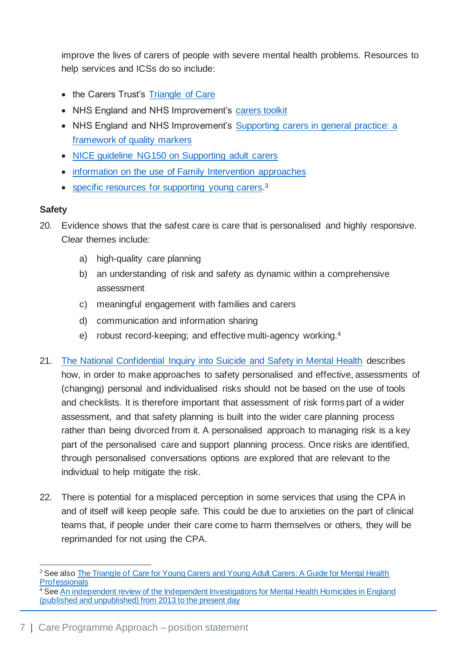improve the lives of carers of people with severe mental health problems. Resources to help services and ICSs do so include:

- the Carers Trust's [Triangle of Care](https://carers.org/resources/all-resources/53-the-triangle-of-care-carers-included-a-guide-to-best-practice-in-mental-health-care-in-england)
- NHS England and NHS Improvement's [carers toolkit](https://www.england.nhs.uk/commitment-to-carers/carers-toolkit/)
- NHS England and NHS Improvement's Supporting carers in general practice: a [framework of quality markers](https://www.england.nhs.uk/publication/supporting-carers-in-general-practice-a-framework-of-quality-markers/)
- [NICE guideline NG150 on Supporting adult carers](https://www.nice.org.uk/guidance/ng150)
- [information on the use of Family Intervention approaches](https://www.nice.org.uk/guidance/qs80/chapter/Quality-statement-3-Family-intervention#source-guidance-3)
- [specific resources for supporting young carers.](https://www.nhs.uk/conditions/social-care-and-support-guide/support-and-benefits-for-carers/help-for-young-carers/)<sup>3</sup>

### **Safety**

- 20. Evidence shows that the safest care is care that is personalised and highly responsive. Clear themes include:
	- a) high-quality care planning
	- b) an understanding of risk and safety as dynamic within a comprehensive assessment
	- c) meaningful engagement with families and carers
	- d) communication and information sharing
	- e) robust record-keeping; and effective multi-agency working.<sup>4</sup>
- 21. [The National Confidential Inquiry into Suicide and Safety in Mental Health](https://documents.manchester.ac.uk/display.aspx?DocID=40697) describes how, in order to make approaches to safety personalised and effective, assessments of (changing) personal and individualised risks should not be based on the use of tools and checklists. It is therefore important that assessment of risk forms part of a wider assessment, and that safety planning is built into the wider care planning process rather than being divorced from it. A personalised approach to managing risk is a key part of the personalised care and support planning process. Once risks are identified, through personalised conversations options are explored that are relevant to the individual to help mitigate the risk.
- 22. There is potential for a misplaced perception in some services that using the CPA in and of itself will keep people safe. This could be due to anxieties on the part of clinical teams that, if people under their care come to harm themselves or others, they will be reprimanded for not using the CPA.

<sup>&</sup>lt;sup>3</sup> See also **The Triangle of Care for Young Carers and Young Adult Carers: A Guide for Mental Health [Professionals](https://carers.org/resources/all-resources/71-the-triangle-of-care-for-young-carers-and-young-adult-carers-a-guide-for-mental-health-professionals)** 

<sup>&</sup>lt;sup>4</sup> See An independent review of the Independent Investigations for Mental Health Homicides in England [\(published and unpublished\) from 2013 to the present day](https://www.england.nhs.uk/south-east/wp-content/uploads/sites/45/2019/10/independent-investigations-for-mental-health-homicides-in-england-report.pdf)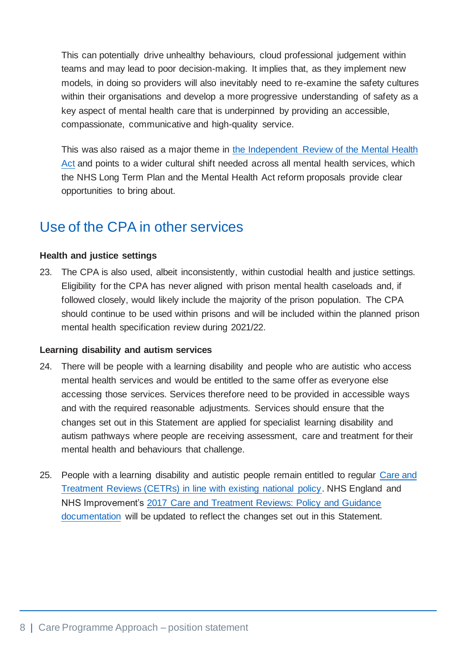This can potentially drive unhealthy behaviours, cloud professional judgement within teams and may lead to poor decision-making. It implies that, as they implement new models, in doing so providers will also inevitably need to re-examine the safety cultures within their organisations and develop a more progressive understanding of safety as a key aspect of mental health care that is underpinned by providing an accessible, compassionate, communicative and high-quality service.

This was also raised as a major theme in [the Independent Review of the Mental Health](https://www.gov.uk/government/publications/modernising-the-mental-health-act-final-report-from-the-independent-review)  [Act](https://www.gov.uk/government/publications/modernising-the-mental-health-act-final-report-from-the-independent-review) and points to a wider cultural shift needed across all mental health services, which the NHS Long Term Plan and the Mental Health Act reform proposals provide clear opportunities to bring about.

### Use of the CPA in other services

#### **Health and justice settings**

23. The CPA is also used, albeit inconsistently, within custodial health and justice settings. Eligibility for the CPA has never aligned with prison mental health caseloads and, if followed closely, would likely include the majority of the prison population. The CPA should continue to be used within prisons and will be included within the planned prison mental health specification review during 2021/22.

#### **Learning disability and autism services**

- 24. There will be people with a learning disability and people who are autistic who access mental health services and would be entitled to the same offer as everyone else accessing those services. Services therefore need to be provided in accessible ways and with the required reasonable adjustments. Services should ensure that the changes set out in this Statement are applied for specialist learning disability and autism pathways where people are receiving assessment, care and treatment for their mental health and behaviours that challenge.
- 25. People with a learning disability and autistic people remain entitled to regular [Care and](https://www.england.nhs.uk/learning-disabilities/care/ctr/)  [Treatment Reviews \(CETRs\) in line with existing national policy.](https://www.england.nhs.uk/learning-disabilities/care/ctr/) NHS England and NHS Improvement's [2017 Care and Treatment Reviews: Policy and Guidance](https://www.england.nhs.uk/publication/care-and-treatment-reviews-policy-and-guidance/)  [documentation](https://www.england.nhs.uk/publication/care-and-treatment-reviews-policy-and-guidance/) will be updated to reflect the changes set out in this Statement.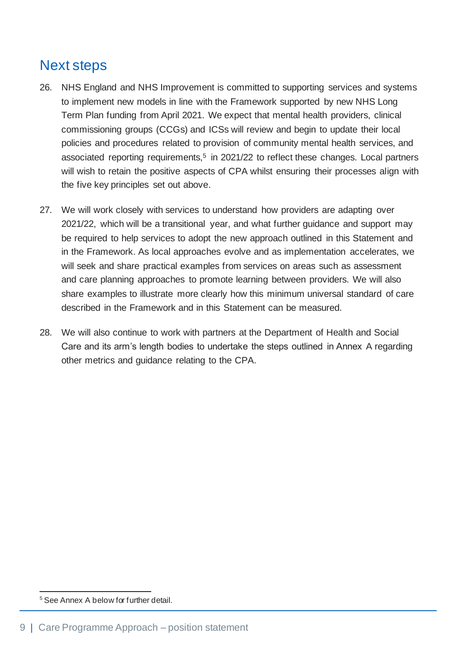## Next steps

- 26. NHS England and NHS Improvement is committed to supporting services and systems to implement new models in line with the Framework supported by new NHS Long Term Plan funding from April 2021. We expect that mental health providers, clinical commissioning groups (CCGs) and ICSs will review and begin to update their local policies and procedures related to provision of community mental health services, and associated reporting requirements,<sup>5</sup> in 2021/22 to reflect these changes. Local partners will wish to retain the positive aspects of CPA whilst ensuring their processes align with the five key principles set out above.
- 27. We will work closely with services to understand how providers are adapting over 2021/22, which will be a transitional year, and what further guidance and support may be required to help services to adopt the new approach outlined in this Statement and in the Framework. As local approaches evolve and as implementation accelerates, we will seek and share practical examples from services on areas such as assessment and care planning approaches to promote learning between providers. We will also share examples to illustrate more clearly how this minimum universal standard of care described in the Framework and in this Statement can be measured.
- 28. We will also continue to work with partners at the Department of Health and Social Care and its arm's length bodies to undertake the steps outlined in Annex A regarding other metrics and guidance relating to the CPA.

<sup>5</sup> See Annex A below for further detail.